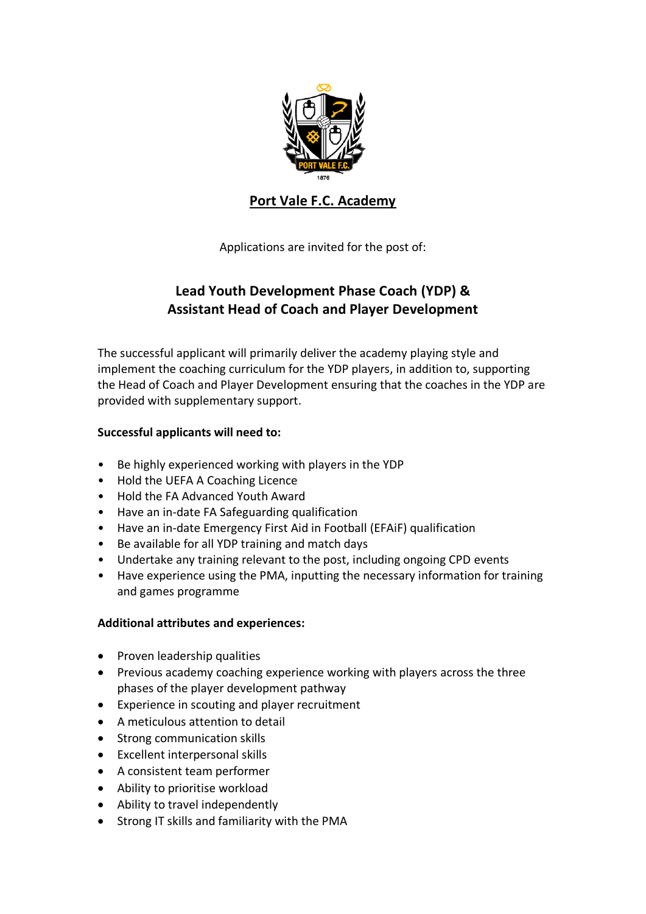

## **Port Vale F.C. Academy**

Applications are invited for the post of:

# **Lead Youth Development Phase Coach (YDP) & Assistant Head of Coach and Player Development**

The successful applicant will primarily deliver the academy playing style and implement the coaching curriculum for the YDP players, in addition to, supporting the Head of Coach and Player Development ensuring that the coaches in the YDP are provided with supplementary support.

## **Successful applicants will need to:**

- Be highly experienced working with players in the YDP
- Hold the UEFA A Coaching Licence
- Hold the FA Advanced Youth Award
- Have an in-date FA Safeguarding qualification
- Have an in-date Emergency First Aid in Football (EFAiF) qualification
- Be available for all YDP training and match days
- Undertake any training relevant to the post, including ongoing CPD events
- Have experience using the PMA, inputting the necessary information for training and games programme

### **Additional attributes and experiences:**

- Proven leadership qualities
- Previous academy coaching experience working with players across the three phases of the player development pathway
- Experience in scouting and player recruitment
- A meticulous attention to detail
- Strong communication skills
- Excellent interpersonal skills
- A consistent team performer
- Ability to prioritise workload
- Ability to travel independently
- Strong IT skills and familiarity with the PMA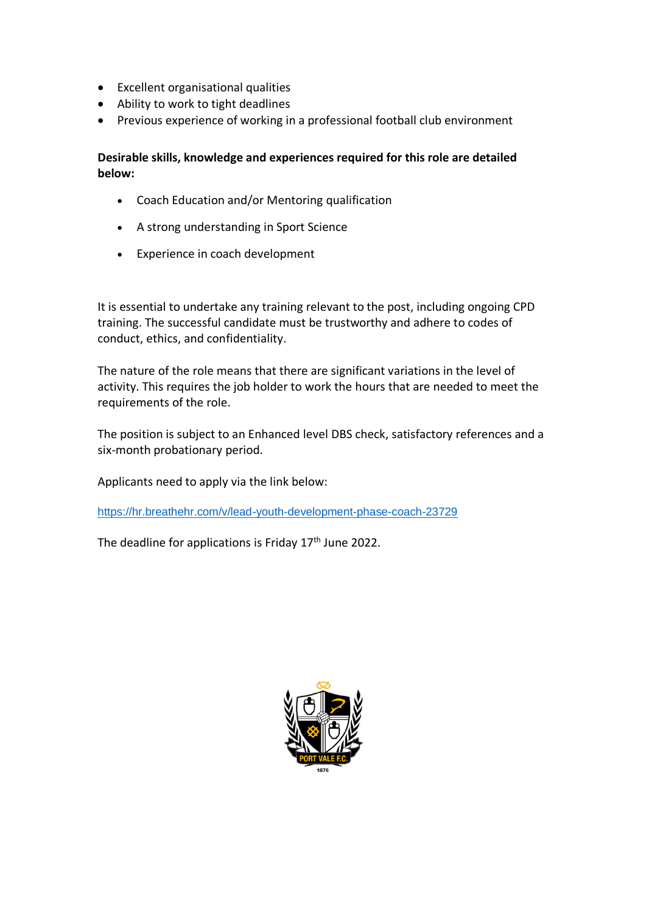- Excellent organisational qualities
- Ability to work to tight deadlines
- Previous experience of working in a professional football club environment

**Desirable skills, knowledge and experiences required for this role are detailed below:** 

- Coach Education and/or Mentoring qualification
- A strong understanding in Sport Science
- Experience in coach development

It is essential to undertake any training relevant to the post, including ongoing CPD training. The successful candidate must be trustworthy and adhere to codes of conduct, ethics, and confidentiality.

The nature of the role means that there are significant variations in the level of activity. This requires the job holder to work the hours that are needed to meet the requirements of the role.

The position is subject to an Enhanced level DBS check, satisfactory references and a six-month probationary period.

Applicants need to apply via the link below:

<https://hr.breathehr.com/v/lead-youth-development-phase-coach-23729>

The deadline for applications is Friday 17<sup>th</sup> June 2022.

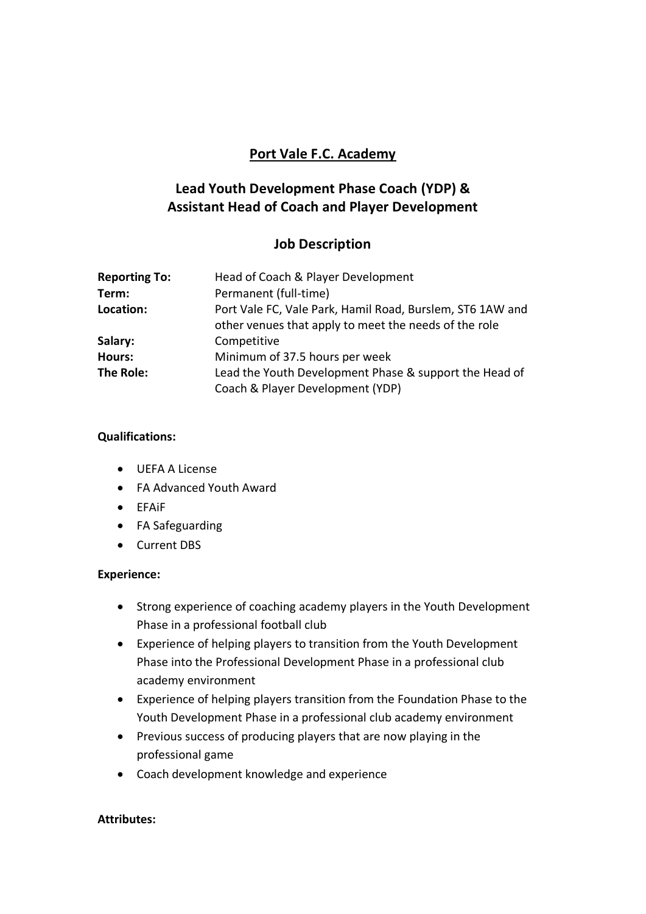## **Port Vale F.C. Academy**

# **Lead Youth Development Phase Coach (YDP) & Assistant Head of Coach and Player Development**

## **Job Description**

| <b>Reporting To:</b> | Head of Coach & Player Development                                                                                 |
|----------------------|--------------------------------------------------------------------------------------------------------------------|
| Term:                | Permanent (full-time)                                                                                              |
| Location:            | Port Vale FC, Vale Park, Hamil Road, Burslem, ST6 1AW and<br>other venues that apply to meet the needs of the role |
| Salary:              | Competitive                                                                                                        |
| <b>Hours:</b>        | Minimum of 37.5 hours per week                                                                                     |
| The Role:            | Lead the Youth Development Phase & support the Head of                                                             |
|                      | Coach & Player Development (YDP)                                                                                   |

### **Qualifications:**

- UEFA A License
- FA Advanced Youth Award
- EFAiF
- FA Safeguarding
- Current DBS

### **Experience:**

- Strong experience of coaching academy players in the Youth Development Phase in a professional football club
- Experience of helping players to transition from the Youth Development Phase into the Professional Development Phase in a professional club academy environment
- Experience of helping players transition from the Foundation Phase to the Youth Development Phase in a professional club academy environment
- Previous success of producing players that are now playing in the professional game
- Coach development knowledge and experience

### **Attributes:**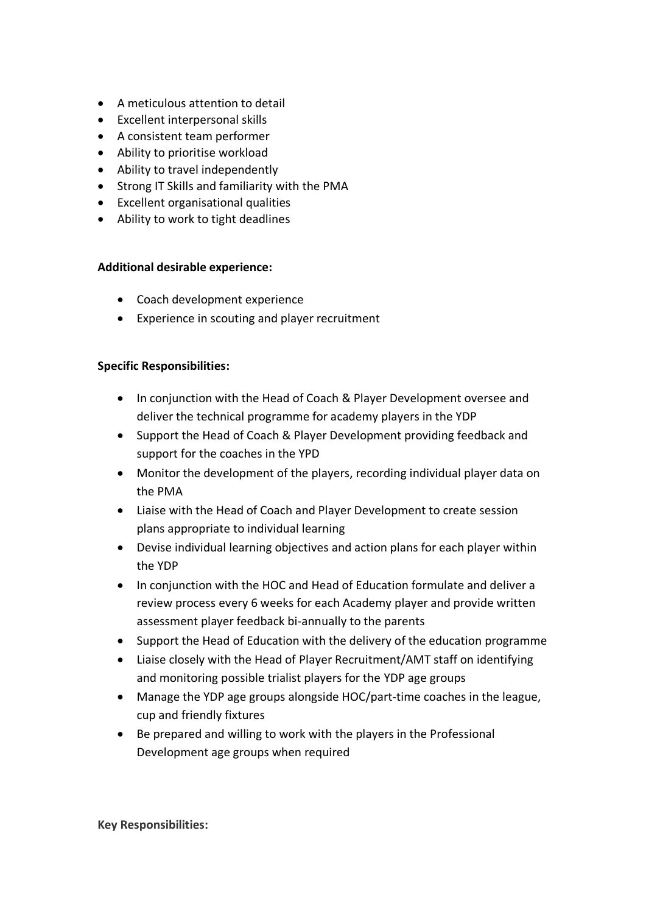- A meticulous attention to detail
- Excellent interpersonal skills
- A consistent team performer
- Ability to prioritise workload
- Ability to travel independently
- Strong IT Skills and familiarity with the PMA
- Excellent organisational qualities
- Ability to work to tight deadlines

#### **Additional desirable experience:**

- Coach development experience
- Experience in scouting and player recruitment

#### **Specific Responsibilities:**

- In conjunction with the Head of Coach & Player Development oversee and deliver the technical programme for academy players in the YDP
- Support the Head of Coach & Player Development providing feedback and support for the coaches in the YPD
- Monitor the development of the players, recording individual player data on the PMA
- Liaise with the Head of Coach and Player Development to create session plans appropriate to individual learning
- Devise individual learning objectives and action plans for each player within the YDP
- In conjunction with the HOC and Head of Education formulate and deliver a review process every 6 weeks for each Academy player and provide written assessment player feedback bi-annually to the parents
- Support the Head of Education with the delivery of the education programme
- Liaise closely with the Head of Player Recruitment/AMT staff on identifying and monitoring possible trialist players for the YDP age groups
- Manage the YDP age groups alongside HOC/part-time coaches in the league, cup and friendly fixtures
- Be prepared and willing to work with the players in the Professional Development age groups when required

**Key Responsibilities:**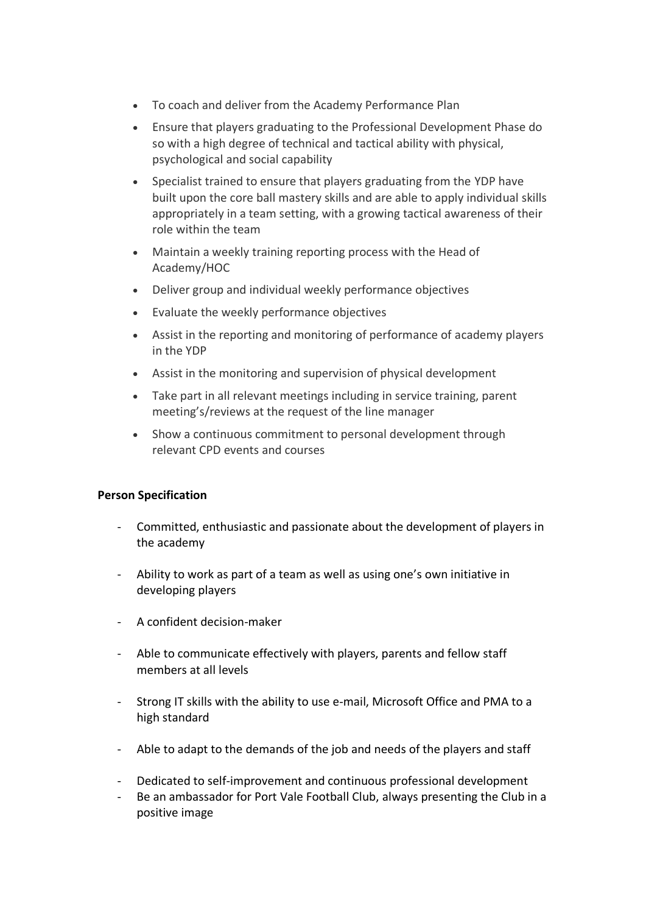- To coach and deliver from the Academy Performance Plan
- Ensure that players graduating to the Professional Development Phase do so with a high degree of technical and tactical ability with physical, psychological and social capability
- Specialist trained to ensure that players graduating from the YDP have built upon the core ball mastery skills and are able to apply individual skills appropriately in a team setting, with a growing tactical awareness of their role within the team
- Maintain a weekly training reporting process with the Head of Academy/HOC
- Deliver group and individual weekly performance objectives
- Evaluate the weekly performance objectives
- Assist in the reporting and monitoring of performance of academy players in the YDP
- Assist in the monitoring and supervision of physical development
- Take part in all relevant meetings including in service training, parent meeting's/reviews at the request of the line manager
- Show a continuous commitment to personal development through relevant CPD events and courses

#### **Person Specification**

- Committed, enthusiastic and passionate about the development of players in the academy
- Ability to work as part of a team as well as using one's own initiative in developing players
- A confident decision-maker
- Able to communicate effectively with players, parents and fellow staff members at all levels
- Strong IT skills with the ability to use e-mail, Microsoft Office and PMA to a high standard
- Able to adapt to the demands of the job and needs of the players and staff
- Dedicated to self-improvement and continuous professional development
- Be an ambassador for Port Vale Football Club, always presenting the Club in a positive image